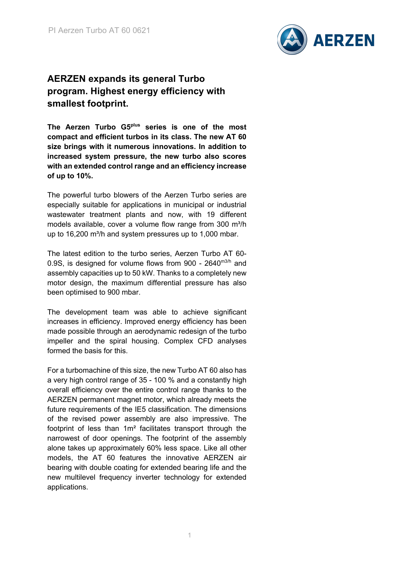

# **AERZEN expands its general Turbo program. Highest energy efficiency with smallest footprint.**

**The Aerzen Turbo G5plus series is one of the most compact and efficient turbos in its class. The new AT 60 size brings with it numerous innovations. In addition to increased system pressure, the new turbo also scores with an extended control range and an efficiency increase of up to 10%.**

The powerful turbo blowers of the Aerzen Turbo series are especially suitable for applications in municipal or industrial wastewater treatment plants and now, with 19 different models available, cover a volume flow range from 300 m<sup>3</sup>/h up to 16,200 m<sup>3</sup>/h and system pressures up to 1,000 mbar.

The latest edition to the turbo series, Aerzen Turbo AT 60- 0.9S, is designed for volume flows from 900 -  $2640^{\text{m3/h}}$  and assembly capacities up to 50 kW. Thanks to a completely new motor design, the maximum differential pressure has also been optimised to 900 mbar.

The development team was able to achieve significant increases in efficiency. Improved energy efficiency has been made possible through an aerodynamic redesign of the turbo impeller and the spiral housing. Complex CFD analyses formed the basis for this.

For a turbomachine of this size, the new Turbo AT 60 also has a very high control range of 35 - 100 % and a constantly high overall efficiency over the entire control range thanks to the AERZEN permanent magnet motor, which already meets the future requirements of the IE5 classification. The dimensions of the revised power assembly are also impressive. The footprint of less than 1m² facilitates transport through the narrowest of door openings. The footprint of the assembly alone takes up approximately 60% less space. Like all other models, the AT 60 features the innovative AERZEN air bearing with double coating for extended bearing life and the new multilevel frequency inverter technology for extended applications.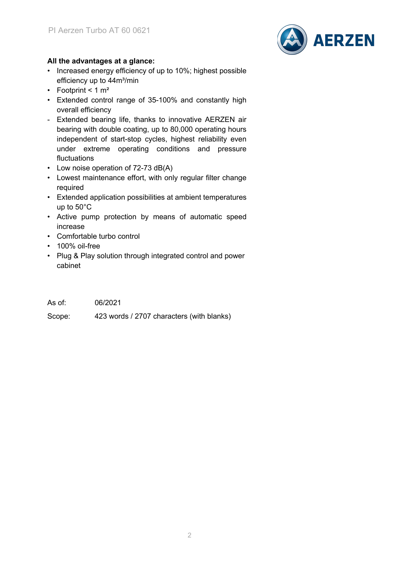

## **All the advantages at a glance:**

- Increased energy efficiency of up to 10%; highest possible efficiency up to 44m<sup>3</sup>/min
- Footprint  $< 1$  m<sup>2</sup>
- Extended control range of 35-100% and constantly high overall efficiency
- Extended bearing life, thanks to innovative AERZEN air bearing with double coating, up to 80,000 operating hours independent of start-stop cycles, highest reliability even under extreme operating conditions and pressure fluctuations
- Low noise operation of 72-73 dB(A)
- Lowest maintenance effort, with only regular filter change required
- Extended application possibilities at ambient temperatures up to 50°C
- Active pump protection by means of automatic speed increase
- Comfortable turbo control
- 100% oil-free
- Plug & Play solution through integrated control and power cabinet

| As of: | 06/2021 |
|--------|---------|
|        |         |

Scope: 423 words / 2707 characters (with blanks)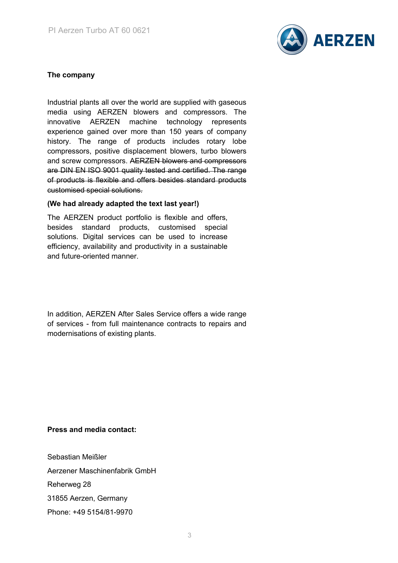

## **The company**

Industrial plants all over the world are supplied with gaseous media using AERZEN blowers and compressors. The innovative AERZEN machine technology represents experience gained over more than 150 years of company history. The range of products includes rotary lobe compressors, positive displacement blowers, turbo blowers and screw compressors. AERZEN blowers and compressors are DIN EN ISO 9001 quality tested and certified. The range of products is flexible and offers besides standard products customised special solutions.

#### **(We had already adapted the text last year!)**

The AERZEN product portfolio is flexible and offers, besides standard products, customised special solutions. Digital services can be used to increase efficiency, availability and productivity in a sustainable and future-oriented manner.

In addition, AERZEN After Sales Service offers a wide range of services - from full maintenance contracts to repairs and modernisations of existing plants.

### **Press and media contact:**

Sebastian Meißler Aerzener Maschinenfabrik GmbH Reherweg 28 31855 Aerzen, Germany Phone: +49 5154/81-9970